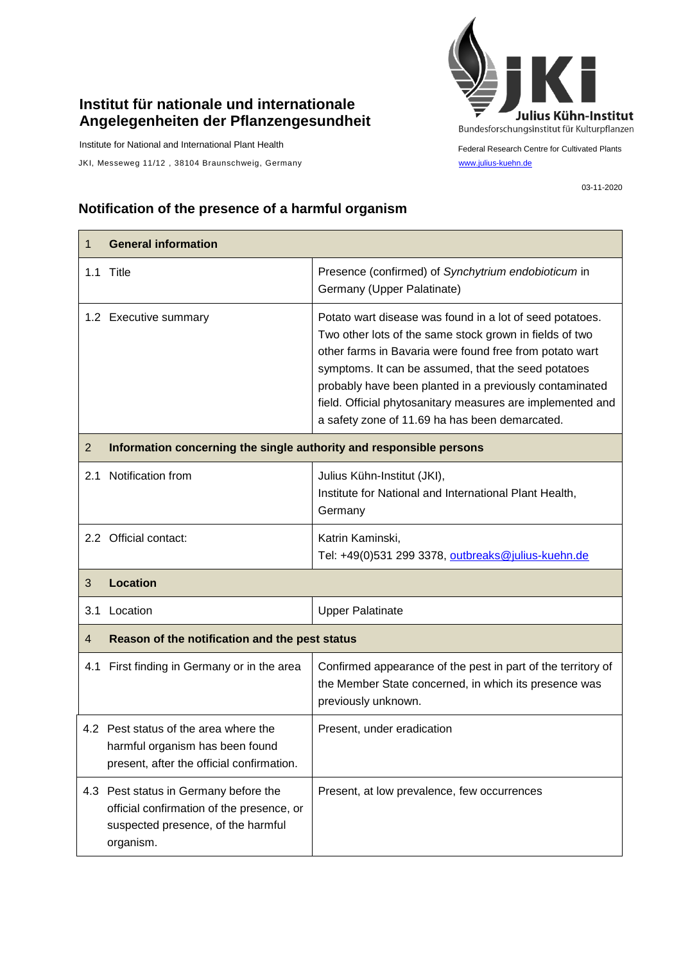## **Institut für nationale und internationale Angelegenheiten der Pflanzengesundheit**

Institute for National and International Plant Health

JKI, Messeweg 11/12, 38104 Braunschweig, Germany [www.julius-kuehn.de](http://www.julius-kuehn.de/)



Federal Research Centre for Cultivated Plants

03-11-2020

## **Notification of the presence of a harmful organism**

| 1              | <b>General information</b>                                                                                                            |                                                                                                                                                                                                                                                                                                                                                                                                                  |  |
|----------------|---------------------------------------------------------------------------------------------------------------------------------------|------------------------------------------------------------------------------------------------------------------------------------------------------------------------------------------------------------------------------------------------------------------------------------------------------------------------------------------------------------------------------------------------------------------|--|
|                | 1.1 Title                                                                                                                             | Presence (confirmed) of Synchytrium endobioticum in<br>Germany (Upper Palatinate)                                                                                                                                                                                                                                                                                                                                |  |
|                | 1.2 Executive summary                                                                                                                 | Potato wart disease was found in a lot of seed potatoes.<br>Two other lots of the same stock grown in fields of two<br>other farms in Bavaria were found free from potato wart<br>symptoms. It can be assumed, that the seed potatoes<br>probably have been planted in a previously contaminated<br>field. Official phytosanitary measures are implemented and<br>a safety zone of 11.69 ha has been demarcated. |  |
| $\overline{2}$ | Information concerning the single authority and responsible persons                                                                   |                                                                                                                                                                                                                                                                                                                                                                                                                  |  |
| 2.1            | Notification from                                                                                                                     | Julius Kühn-Institut (JKI),<br>Institute for National and International Plant Health,<br>Germany                                                                                                                                                                                                                                                                                                                 |  |
|                | 2.2 Official contact:                                                                                                                 | Katrin Kaminski,<br>Tel: +49(0)531 299 3378, outbreaks@julius-kuehn.de                                                                                                                                                                                                                                                                                                                                           |  |
| 3              | <b>Location</b>                                                                                                                       |                                                                                                                                                                                                                                                                                                                                                                                                                  |  |
| 3.1            | Location                                                                                                                              | <b>Upper Palatinate</b>                                                                                                                                                                                                                                                                                                                                                                                          |  |
| 4              | Reason of the notification and the pest status                                                                                        |                                                                                                                                                                                                                                                                                                                                                                                                                  |  |
| 4.1            | First finding in Germany or in the area                                                                                               | Confirmed appearance of the pest in part of the territory of<br>the Member State concerned, in which its presence was<br>previously unknown.                                                                                                                                                                                                                                                                     |  |
|                | 4.2 Pest status of the area where the<br>harmful organism has been found<br>present, after the official confirmation.                 | Present, under eradication                                                                                                                                                                                                                                                                                                                                                                                       |  |
|                | 4.3 Pest status in Germany before the<br>official confirmation of the presence, or<br>suspected presence, of the harmful<br>organism. | Present, at low prevalence, few occurrences                                                                                                                                                                                                                                                                                                                                                                      |  |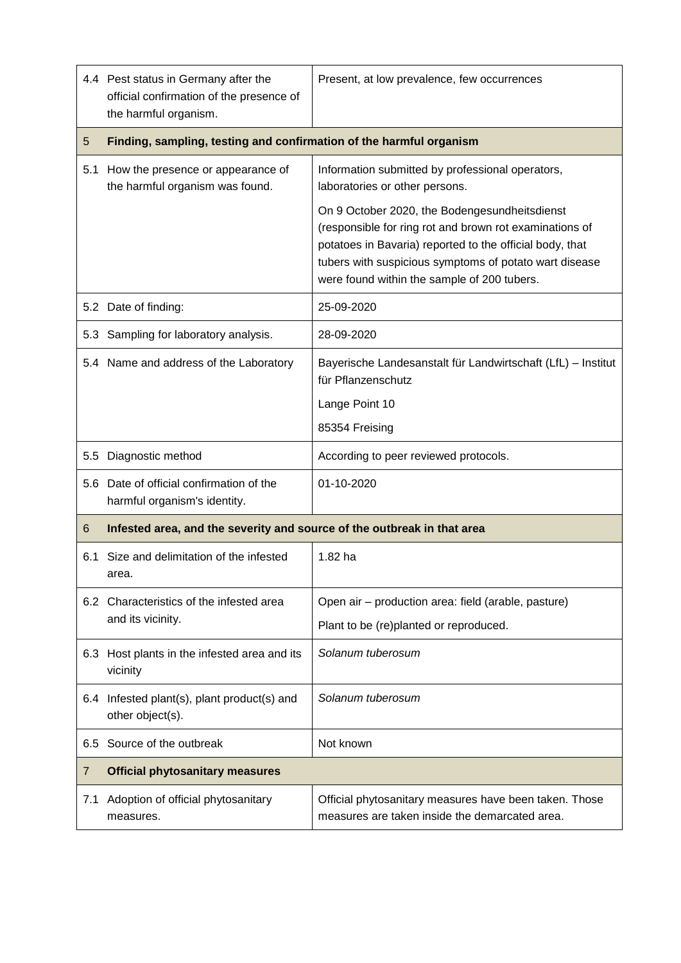|     | 4.4 Pest status in Germany after the<br>official confirmation of the presence of<br>the harmful organism. | Present, at low prevalence, few occurrences                                                                                                                                                                                                                                   |  |
|-----|-----------------------------------------------------------------------------------------------------------|-------------------------------------------------------------------------------------------------------------------------------------------------------------------------------------------------------------------------------------------------------------------------------|--|
| 5   | Finding, sampling, testing and confirmation of the harmful organism                                       |                                                                                                                                                                                                                                                                               |  |
| 5.1 | How the presence or appearance of<br>the harmful organism was found.                                      | Information submitted by professional operators,<br>laboratories or other persons.                                                                                                                                                                                            |  |
|     |                                                                                                           | On 9 October 2020, the Bodengesundheitsdienst<br>(responsible for ring rot and brown rot examinations of<br>potatoes in Bavaria) reported to the official body, that<br>tubers with suspicious symptoms of potato wart disease<br>were found within the sample of 200 tubers. |  |
|     | 5.2 Date of finding:                                                                                      | 25-09-2020                                                                                                                                                                                                                                                                    |  |
| 5.3 | Sampling for laboratory analysis.                                                                         | 28-09-2020                                                                                                                                                                                                                                                                    |  |
|     | 5.4 Name and address of the Laboratory                                                                    | Bayerische Landesanstalt für Landwirtschaft (LfL) – Institut<br>für Pflanzenschutz                                                                                                                                                                                            |  |
|     |                                                                                                           | Lange Point 10                                                                                                                                                                                                                                                                |  |
|     |                                                                                                           | 85354 Freising                                                                                                                                                                                                                                                                |  |
| 5.5 | Diagnostic method                                                                                         | According to peer reviewed protocols.                                                                                                                                                                                                                                         |  |
| 5.6 | Date of official confirmation of the<br>harmful organism's identity.                                      | 01-10-2020                                                                                                                                                                                                                                                                    |  |
| 6   | Infested area, and the severity and source of the outbreak in that area                                   |                                                                                                                                                                                                                                                                               |  |
| 6.1 | Size and delimitation of the infested<br>area.                                                            | 1.82 ha                                                                                                                                                                                                                                                                       |  |
|     | 6.2 Characteristics of the infested area<br>and its vicinity.                                             | Open air - production area: field (arable, pasture)                                                                                                                                                                                                                           |  |
|     |                                                                                                           | Plant to be (re)planted or reproduced.                                                                                                                                                                                                                                        |  |
| 6.3 | Host plants in the infested area and its<br>vicinity                                                      | Solanum tuberosum                                                                                                                                                                                                                                                             |  |
| 6.4 | Infested plant(s), plant product(s) and<br>other object(s).                                               | Solanum tuberosum                                                                                                                                                                                                                                                             |  |
| 6.5 | Source of the outbreak                                                                                    | Not known                                                                                                                                                                                                                                                                     |  |
| 7   | <b>Official phytosanitary measures</b>                                                                    |                                                                                                                                                                                                                                                                               |  |
| 7.1 | Adoption of official phytosanitary<br>measures.                                                           | Official phytosanitary measures have been taken. Those<br>measures are taken inside the demarcated area.                                                                                                                                                                      |  |